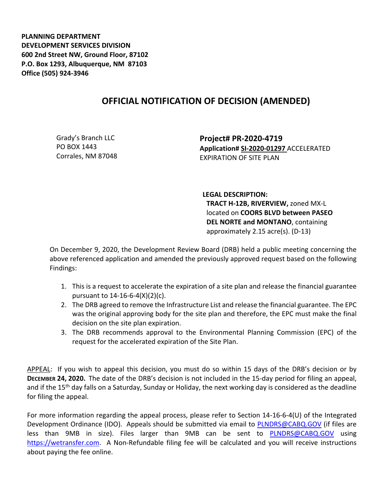**PLANNING DEPARTMENT DEVELOPMENT SERVICES DIVISION 600 2nd Street NW, Ground Floor, 87102 P.O. Box 1293, Albuquerque, NM 87103 Office (505) 924-3946** 

## **OFFICIAL NOTIFICATION OF DECISION (AMENDED)**

Grady's Branch LLC PO BOX 1443 Corrales, NM 87048 **Project# PR-2020-4719 Application# SI-2020-01297** ACCELERATED EXPIRATION OF SITE PLAN

**LEGAL DESCRIPTION: TRACT H-12B, RIVERVIEW,** zoned MX-L located on **COORS BLVD between PASEO DEL NORTE and MONTANO**, containing approximately 2.15 acre(s). (D-13)

On December 9, 2020, the Development Review Board (DRB) held a public meeting concerning the above referenced application and amended the previously approved request based on the following Findings:

- 1. This is a request to accelerate the expiration of a site plan and release the financial guarantee pursuant to 14-16-6-4(X)(2)(c).
- 2. The DRB agreed to remove the Infrastructure List and release the financial guarantee. The EPC was the original approving body for the site plan and therefore, the EPC must make the final decision on the site plan expiration.
- 3. The DRB recommends approval to the Environmental Planning Commission (EPC) of the request for the accelerated expiration of the Site Plan.

APPEAL: If you wish to appeal this decision, you must do so within 15 days of the DRB's decision or by **DECEMBER 24, 2020.** The date of the DRB's decision is not included in the 15-day period for filing an appeal, and if the 15<sup>th</sup> day falls on a Saturday, Sunday or Holiday, the next working day is considered as the deadline for filing the appeal.

For more information regarding the appeal process, please refer to Section 14-16-6-4(U) of the Integrated Development Ordinance (IDO). Appeals should be submitted via email to **PLNDRS@CABQ.GOV** (if files are less than 9MB in size). Files larger than 9MB can be sent to [PLNDRS@CABQ.GOV](mailto:PLNDRS@CABQ.GOV) using [https://wetransfer.com.](https://wetransfer.com/) A Non-Refundable filing fee will be calculated and you will receive instructions about paying the fee online.